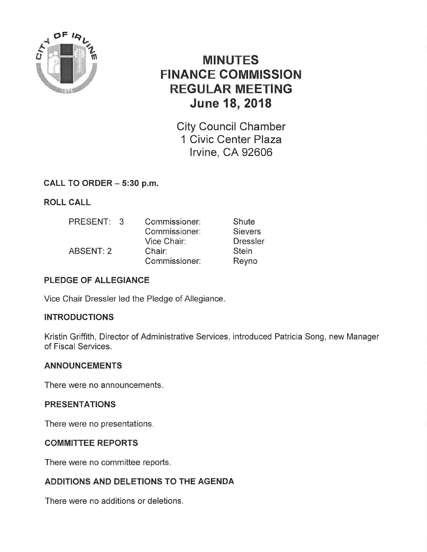

# MINUTES FINANCE COMMISSION REGULAR MEETING June 18, 2018

City Council Chamber 1 Civic Center Plaza lrvine, CA 92606

## CALL TO ORDER - 5:30 p.m.

ROLL CALL

| PRESENT: 3       | Commissioner: | Shute           |
|------------------|---------------|-----------------|
|                  | Commissioner: | <b>Sievers</b>  |
|                  | Vice Chair:   | <b>Dressler</b> |
| <b>ABSENT: 2</b> | Chair:        | <b>Stein</b>    |
|                  | Commissioner: | Reyno           |

## PLEDGE OF ALLEGIANCE

Vice Chair Dressler led the Pledge of Allegiance

## **INTRODUCTIONS**

Kristin Griffith, Director of Administrative Services, introduced Patricia Song, new Manager of Fiscal Services.

## ANNOUNCEMENTS

There were no announcements

### PRESENTATIONS

There were no presentations

## COMMITTEE REPORTS

There were no committee reports.

## ADDITIONS AND DELETIONS TO THE AGENDA

There were no additions or deletions.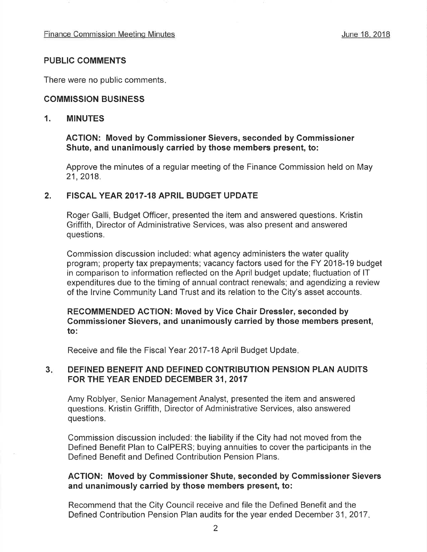### PUBLIC COMMENTS

There were no public comments

#### COMMISSION BUSINESS

#### 1. MINUTES

#### ACTION: Moved by Gommissioner Sievers, seconded by Gommissioner Shute, and unanimously carried by those members present, to:

Approve the minutes of a regular meeting of the Finance Commission held on May 21,2018.

#### 2. FISCAL YEAR 2017-18 APRIL BUDGET UPDATE

Roger Galli, Budget Officer, presented the item and answered questions. Kristin Griffith, Director of Administrative Services, was also present and answered questions.

Commission discussion included: what agency administers the water quality program; property tax prepayments; vacancy factors used for the FY 2018-19 budget in comparison to information reflected on the April budget update; fluctuation of lT expenditures due to the timing of annual contract renewals; and agendizing a review of the lrvine Community Land Trust and its relation to the City's asset accounts.

#### RECOMMENDED AGTION: Moved by Vice Chair Dressler, seconded by Commissioner Sievers, and unanimously carried by those members present, to:

Receive and file the Fiscal Year 2017-18 April Budget Update

### 3 DEFINED BENEFIT AND DEFINED CONTRIBUTION PENSION PLAN AUDITS FOR THE YEAR ENDED DECEMBER 31, 2017

Amy Roblyer, Senior Management Analyst, presented the item and answered questions, Kristin Griffith, Director of Administrative Services, also answered questions.

Commission discussion included: the liability if the City had not moved from the Defined Benefit Plan to CaIPERS; buying annuities to cover the participants in the Defined Benefit and Defined Contribution Pension Plans.

#### ACTION: Moved by Commissioner Shute, seconded by Commissioner Sievers and unanimously carried by those members present, to:

Recommend that the City Council receive and file the Defined Benefit and the Defined Contribution Pension Plan audits for the year ended December 31, 2017